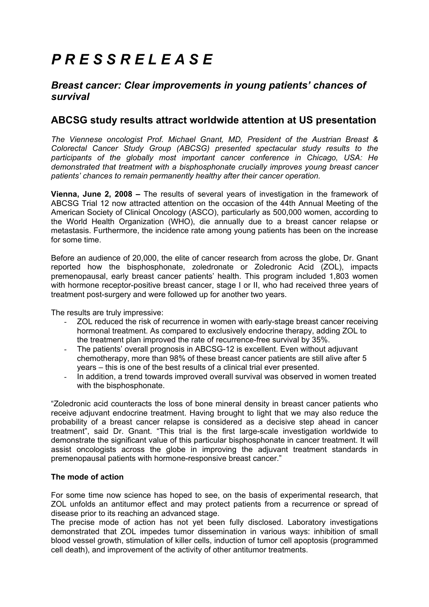# *P R E S S R E L E A S E*

## *Breast cancer: Clear improvements in young patients' chances of survival*

# **ABCSG study results attract worldwide attention at US presentation**

*The Viennese oncologist Prof. Michael Gnant, MD, President of the Austrian Breast & Colorectal Cancer Study Group (ABCSG) presented spectacular study results to the participants of the globally most important cancer conference in Chicago, USA: He demonstrated that treatment with a bisphosphonate crucially improves young breast cancer patients' chances to remain permanently healthy after their cancer operation.* 

**Vienna, June 2, 2008 –** The results of several years of investigation in the framework of ABCSG Trial 12 now attracted attention on the occasion of the 44th Annual Meeting of the American Society of Clinical Oncology (ASCO), particularly as 500,000 women, according to the World Health Organization (WHO), die annually due to a breast cancer relapse or metastasis. Furthermore, the incidence rate among young patients has been on the increase for some time.

Before an audience of 20,000, the elite of cancer research from across the globe, Dr. Gnant reported how the bisphosphonate, zoledronate or Zoledronic Acid (ZOL), impacts premenopausal, early breast cancer patients' health. This program included 1,803 women with hormone receptor-positive breast cancer, stage I or II, who had received three years of treatment post-surgery and were followed up for another two years.

The results are truly impressive:

- ZOL reduced the risk of recurrence in women with early-stage breast cancer receiving hormonal treatment. As compared to exclusively endocrine therapy, adding ZOL to the treatment plan improved the rate of recurrence-free survival by 35%.
- The patients' overall prognosis in ABCSG-12 is excellent. Even without adjuvant chemotherapy, more than 98% of these breast cancer patients are still alive after 5 years – this is one of the best results of a clinical trial ever presented.
- In addition, a trend towards improved overall survival was observed in women treated with the bisphosphonate.

"Zoledronic acid counteracts the loss of bone mineral density in breast cancer patients who receive adjuvant endocrine treatment. Having brought to light that we may also reduce the probability of a breast cancer relapse is considered as a decisive step ahead in cancer treatment", said Dr. Gnant. "This trial is the first large-scale investigation worldwide to demonstrate the significant value of this particular bisphosphonate in cancer treatment. It will assist oncologists across the globe in improving the adjuvant treatment standards in premenopausal patients with hormone-responsive breast cancer."

## **The mode of action**

For some time now science has hoped to see, on the basis of experimental research, that ZOL unfolds an antitumor effect and may protect patients from a recurrence or spread of disease prior to its reaching an advanced stage.

The precise mode of action has not yet been fully disclosed. Laboratory investigations demonstrated that ZOL impedes tumor dissemination in various ways: inhibition of small blood vessel growth, stimulation of killer cells, induction of tumor cell apoptosis (programmed cell death), and improvement of the activity of other antitumor treatments.